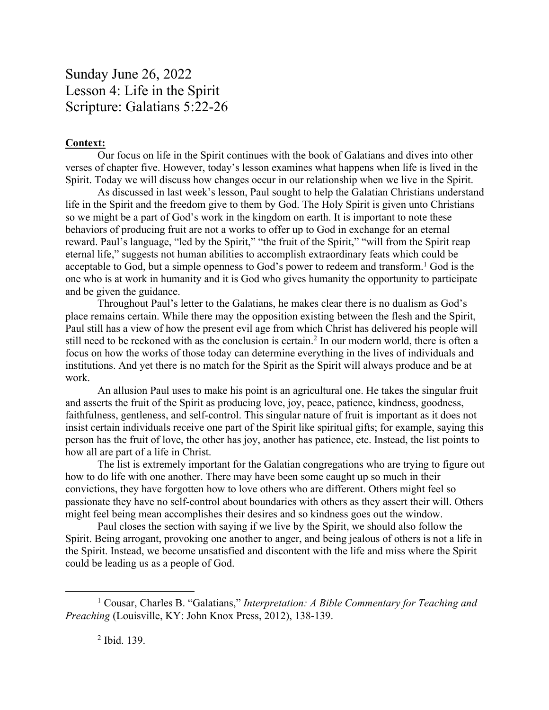Sunday June 26, 2022 Lesson 4: Life in the Spirit Scripture: Galatians 5:22-26

## **Context:**

Our focus on life in the Spirit continues with the book of Galatians and dives into other verses of chapter five. However, today's lesson examines what happens when life is lived in the Spirit. Today we will discuss how changes occur in our relationship when we live in the Spirit.

As discussed in last week's lesson, Paul sought to help the Galatian Christians understand life in the Spirit and the freedom give to them by God. The Holy Spirit is given unto Christians so we might be a part of God's work in the kingdom on earth. It is important to note these behaviors of producing fruit are not a works to offer up to God in exchange for an eternal reward. Paul's language, "led by the Spirit," "the fruit of the Spirit," "will from the Spirit reap eternal life," suggests not human abilities to accomplish extraordinary feats which could be acceptable to God, but a simple openness to God's power to redeem and transform.<sup>1</sup> God is the one who is at work in humanity and it is God who gives humanity the opportunity to participate and be given the guidance.

Throughout Paul's letter to the Galatians, he makes clear there is no dualism as God's place remains certain. While there may the opposition existing between the flesh and the Spirit, Paul still has a view of how the present evil age from which Christ has delivered his people will still need to be reckoned with as the conclusion is certain.2 In our modern world, there is often a focus on how the works of those today can determine everything in the lives of individuals and institutions. And yet there is no match for the Spirit as the Spirit will always produce and be at work.

An allusion Paul uses to make his point is an agricultural one. He takes the singular fruit and asserts the fruit of the Spirit as producing love, joy, peace, patience, kindness, goodness, faithfulness, gentleness, and self-control. This singular nature of fruit is important as it does not insist certain individuals receive one part of the Spirit like spiritual gifts; for example, saying this person has the fruit of love, the other has joy, another has patience, etc. Instead, the list points to how all are part of a life in Christ.

The list is extremely important for the Galatian congregations who are trying to figure out how to do life with one another. There may have been some caught up so much in their convictions, they have forgotten how to love others who are different. Others might feel so passionate they have no self-control about boundaries with others as they assert their will. Others might feel being mean accomplishes their desires and so kindness goes out the window.

Paul closes the section with saying if we live by the Spirit, we should also follow the Spirit. Being arrogant, provoking one another to anger, and being jealous of others is not a life in the Spirit. Instead, we become unsatisfied and discontent with the life and miss where the Spirit could be leading us as a people of God.

<sup>1</sup> Cousar, Charles B. "Galatians," *Interpretation: A Bible Commentary for Teaching and Preaching* (Louisville, KY: John Knox Press, 2012), 138-139.

<sup>2</sup> Ibid. 139.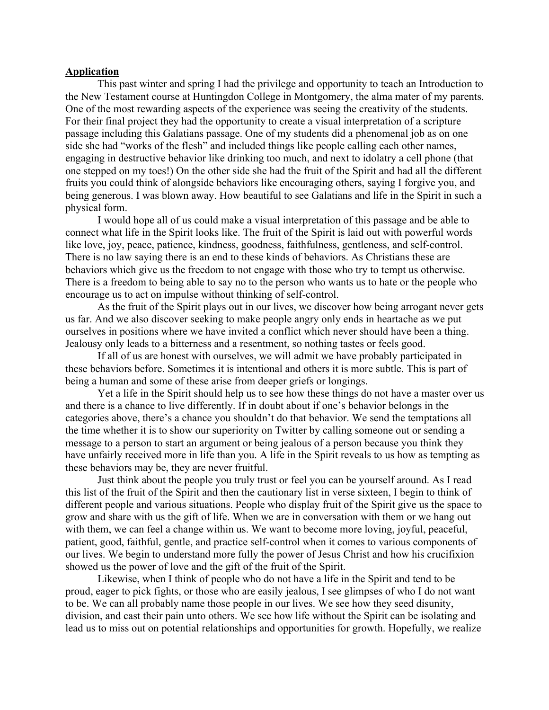## **Application**

This past winter and spring I had the privilege and opportunity to teach an Introduction to the New Testament course at Huntingdon College in Montgomery, the alma mater of my parents. One of the most rewarding aspects of the experience was seeing the creativity of the students. For their final project they had the opportunity to create a visual interpretation of a scripture passage including this Galatians passage. One of my students did a phenomenal job as on one side she had "works of the flesh" and included things like people calling each other names, engaging in destructive behavior like drinking too much, and next to idolatry a cell phone (that one stepped on my toes!) On the other side she had the fruit of the Spirit and had all the different fruits you could think of alongside behaviors like encouraging others, saying I forgive you, and being generous. I was blown away. How beautiful to see Galatians and life in the Spirit in such a physical form.

I would hope all of us could make a visual interpretation of this passage and be able to connect what life in the Spirit looks like. The fruit of the Spirit is laid out with powerful words like love, joy, peace, patience, kindness, goodness, faithfulness, gentleness, and self-control. There is no law saying there is an end to these kinds of behaviors. As Christians these are behaviors which give us the freedom to not engage with those who try to tempt us otherwise. There is a freedom to being able to say no to the person who wants us to hate or the people who encourage us to act on impulse without thinking of self-control.

As the fruit of the Spirit plays out in our lives, we discover how being arrogant never gets us far. And we also discover seeking to make people angry only ends in heartache as we put ourselves in positions where we have invited a conflict which never should have been a thing. Jealousy only leads to a bitterness and a resentment, so nothing tastes or feels good.

If all of us are honest with ourselves, we will admit we have probably participated in these behaviors before. Sometimes it is intentional and others it is more subtle. This is part of being a human and some of these arise from deeper griefs or longings.

Yet a life in the Spirit should help us to see how these things do not have a master over us and there is a chance to live differently. If in doubt about if one's behavior belongs in the categories above, there's a chance you shouldn't do that behavior. We send the temptations all the time whether it is to show our superiority on Twitter by calling someone out or sending a message to a person to start an argument or being jealous of a person because you think they have unfairly received more in life than you. A life in the Spirit reveals to us how as tempting as these behaviors may be, they are never fruitful.

Just think about the people you truly trust or feel you can be yourself around. As I read this list of the fruit of the Spirit and then the cautionary list in verse sixteen, I begin to think of different people and various situations. People who display fruit of the Spirit give us the space to grow and share with us the gift of life. When we are in conversation with them or we hang out with them, we can feel a change within us. We want to become more loving, joyful, peaceful, patient, good, faithful, gentle, and practice self-control when it comes to various components of our lives. We begin to understand more fully the power of Jesus Christ and how his crucifixion showed us the power of love and the gift of the fruit of the Spirit.

Likewise, when I think of people who do not have a life in the Spirit and tend to be proud, eager to pick fights, or those who are easily jealous, I see glimpses of who I do not want to be. We can all probably name those people in our lives. We see how they seed disunity, division, and cast their pain unto others. We see how life without the Spirit can be isolating and lead us to miss out on potential relationships and opportunities for growth. Hopefully, we realize